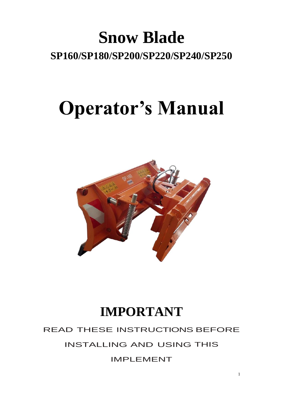# **Snow Blade SP160/SP180/SP200/SP220/SP240/SP250**

# **Operator's Manual**



# **IMPORTANT**

## READ THESE INSTRUCTIONS BEFORE

## INSTALLING AND USING THIS

IMPLEMENT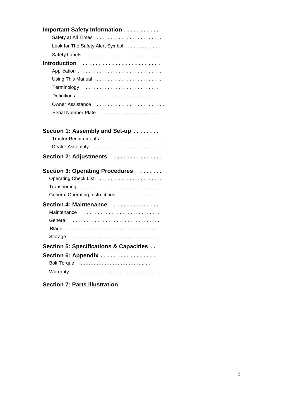| <b>Important Safety Information </b>   |
|----------------------------------------|
| Look for The Safety Alert Symbol       |
|                                        |
| Introduction                           |
|                                        |
|                                        |
| Terminology                            |
|                                        |
| Owner Assistance                       |
| Serial Number Plate                    |
|                                        |
| Section 1: Assembly and Set-up         |
| Dealer Assembly                        |
| Section 2: Adjustments                 |
| Section 3: Operating Procedures        |
| Operating Check List                   |
|                                        |
| General Operating Instructions         |
| Section 4: Maintenance                 |
| Maintenance                            |
| General                                |
| Blade                                  |
| Storage                                |
| Section 5: Specifications & Capacities |
| Section 6: Appendix                    |
|                                        |
| Warranty                               |
| <b>Section 7: Parts illustration</b>   |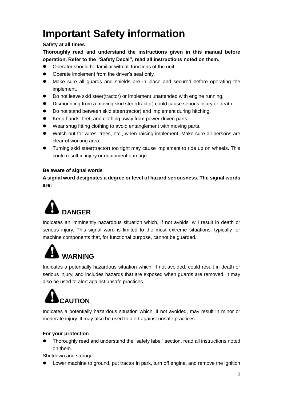## **Important Safety information**

#### **Safety at all times**

**Thoroughly read and understand the instructions given in this manual before operation. Refer to the "Safety Decal", read all instructions noted on them.**

- Operator should be familiar with all functions of the unit.
- Operate implement from the driver's seat only.
- ⚫ Make sure all guards and shields are in place and secured before operating the implement.
- ⚫ Do not leave skid steer(tractor) or implement unattended with engine running.
- ⚫ Dismounting from a moving skid steer(tractor) could cause serious injury or death.
- Do not stand between skid steer(tractor) and implement during hitching.
- Keep hands, feet, and clothing away from power-driven parts.
- Wear snug fitting clothing to avoid entanglement with moving parts.
- Watch out for wires, trees, etc., when raising implement. Make sure all persons are clear of working area.
- ⚫ Turning skid steer(tractor) too tight may cause implement to ride up on wheels. This could result in injury or equipment damage.

#### **Be aware of signal words**

**A signal word designates a degree or level of hazard seriousness. The signal words are:**



Indicates an imminently hazardous situation which, if not avoids, will result in death or serious injury. This signal word is limited to the most extreme situations, typically for machine components that, for functional purpose, cannot be guarded.

# **WARNING**

Indicates a potentially hazardous situation which, if not avoided, could result in death or serious injury, and includes hazards that are exposed when guards are removed. It may also be used to alert against unsafe practices.

# **CAUTION**

Indicates a potentially hazardous situation which, if not avoided, may result in minor or moderate injury. It may also be used to alert against unsafe practices.

#### **For your protection**

⚫ Thoroughly read and understand the "safety label" section, read all instructions noted on them.

Shutdown and storage

Lower machine to ground, put tractor in park, turn off engine, and remove the ignition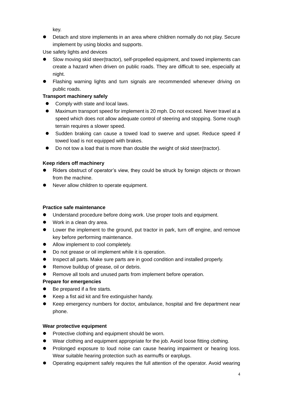key.

● Detach and store implements in an area where children normally do not play. Secure implement by using blocks and supports.

Use safety lights and devices

- ⚫ Slow moving skid steer(tractor), self-propelled equipment, and towed implements can create a hazard when driven on public roads. They are difficult to see, especially at night.
- ⚫ Flashing warning lights and turn signals are recommended whenever driving on public roads.

#### **Transport machinery safely**

- Comply with state and local laws.
- Maximum transport speed for implement is 20 mph. Do not exceed. Never travel at a speed which does not allow adequate control of steering and stopping. Some rough terrain requires a slower speed.
- Sudden braking can cause a towed load to swerve and upset. Reduce speed if towed load is not equipped with brakes.
- Do not tow a load that is more than double the weight of skid steer(tractor).

#### **Keep riders off machinery**

- Riders obstruct of operator's view, they could be struck by foreign objects or thrown from the machine.
- Never allow children to operate equipment.

#### **Practice safe maintenance**

- ⚫ Understand procedure before doing work. Use proper tools and equipment.
- Work in a clean dry area.
- Lower the implement to the ground, put tractor in park, turn off engine, and remove key before performing maintenance.
- Allow implement to cool completely.
- Do not grease or oil implement while it is operation.
- Inspect all parts. Make sure parts are in good condition and installed properly.
- Remove buildup of grease, oil or debris.
- Remove all tools and unused parts from implement before operation.

#### **Prepare for emergencies**

- Be prepared if a fire starts.
- Keep a fist aid kit and fire extinguisher handy.
- Keep emergency numbers for doctor, ambulance, hospital and fire department near phone.

#### **Wear protective equipment**

- ⚫ Protective clothing and equipment should be worn.
- Wear clothing and equipment appropriate for the job. Avoid loose fitting clothing.
- Prolonged exposure to loud noise can cause hearing impairment or hearing loss. Wear suitable hearing protection such as earmuffs or earplugs.
- ⚫ Operating equipment safely requires the full attention of the operator. Avoid wearing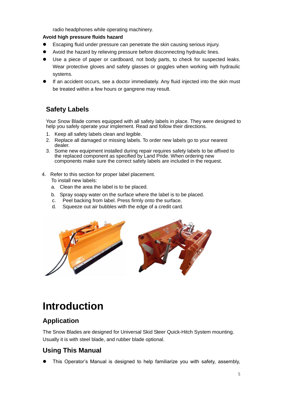radio headphones while operating machinery.

#### **Avoid high pressure fluids hazard**

- ⚫ Escaping fluid under pressure can penetrate the skin causing serious injury.
- ⚫ Avoid the hazard by relieving pressure before disconnecting hydraulic lines.
- ⚫ Use a piece of paper or cardboard, not body parts, to check for suspected leaks. Wear protective gloves and safety glasses or goggles when working with hydraulic systems.
- If an accident occurs, see a doctor immediately. Any fluid injected into the skin must be treated within a few hours or gangrene may result.

### **Safety Labels**

Your Snow Blade comes equipped with all safety labels in place. They were designed to help you safely operate your implement. Read and follow their directions.

- 1. Keep all safety labels clean and legible.
- 2. Replace all damaged or missing labels. To order new labels go to your nearest dealer.
- 3. Some new equipment installed during repair requires safety labels to be affixed to the replaced component as specified by Land Pride. When ordering new components make sure the correct safety labels are included in the request.
- 4. Refer to this section for proper label placement. To install new labels:
	- a. Clean the area the label is to be placed.
	- b. Spray soapy water on the surface where the label is to be placed.
	- c. Peel backing from label. Press firmly onto the surface.
	- d. Squeeze out air bubbles with the edge of a credit card.



## **Introduction**

#### **Application**

The Snow Blades are designed for Universal Skid Steer Quick-Hitch System mounting. Usually it is with steel blade, and rubber blade optional.

### **Using This Manual**

⚫ This Operator's Manual is designed to help familiarize you with safety, assembly,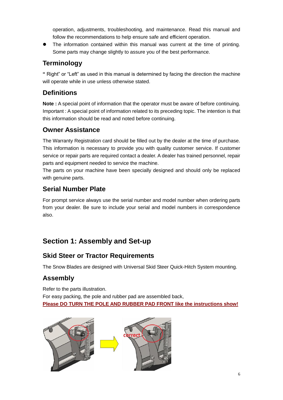operation, adjustments, troubleshooting, and maintenance. Read this manual and follow the recommendations to help ensure safe and efficient operation.

⚫ The information contained within this manual was current at the time of printing. Some parts may change slightly to assure you of the best performance.

### **Terminology**

**"** Right" or "Left" as used in this manual is determined by facing the direction the machine will operate while in use unless otherwise stated.

## **Definitions**

**Note :** A special point of information that the operator must be aware of before continuing. Important : A special point of information related to its preceding topic. The intention is that this information should be read and noted before continuing.

## **Owner Assistance**

The Warranty Registration card should be filled out by the dealer at the time of purchase. This information is necessary to provide you with quality customer service. If customer service or repair parts are required contact a dealer. A dealer has trained personnel, repair parts and equipment needed to service the machine.

The parts on your machine have been specially designed and should only be replaced with genuine parts.

### **Serial Number Plate**

For prompt service always use the serial number and model number when ordering parts from your dealer. Be sure to include your serial and model numbers in correspondence also.

## **Section 1: Assembly and Set-up**

## **Skid Steer or Tractor Requirements**

The Snow Blades are designed with Universal Skid Steer Quick-Hitch System mounting.

### **Assembly**

Refer to the parts illustration. For easy packing, the pole and rubber pad are assembled back, **Please DO TURN THE POLE AND RUBBER PAD FRONT like the instructions show!**

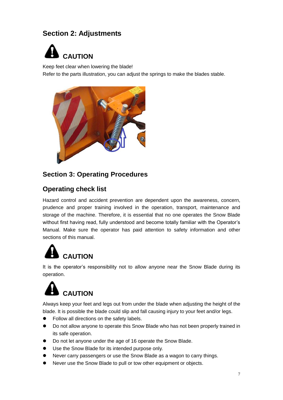## **Section 2: Adjustments**



Keep feet clear when lowering the blade!

Refer to the parts illustration, you can adjust the springs to make the blades stable.



#### **Section 3: Operating Procedures**

#### **Operating check list**

Hazard control and accident prevention are dependent upon the awareness, concern, prudence and proper training involved in the operation, transport, maintenance and storage of the machine. Therefore, it is essential that no one operates the Snow Blade without first having read, fully understood and become totally familiar with the Operator's Manual. Make sure the operator has paid attention to safety information and other sections of this manual.

# **CAUTION**

It is the operator's responsibility not to allow anyone near the Snow Blade during its operation.



Always keep your feet and legs out from under the blade when adjusting the height of the blade. It is possible the blade could slip and fall causing injury to your feet and/or legs.

- Follow all directions on the safety labels.
- Do not allow anyone to operate this Snow Blade who has not been properly trained in its safe operation.
- Do not let anyone under the age of 16 operate the Snow Blade.
- Use the Snow Blade for its intended purpose only.
- ⚫ Never carry passengers or use the Snow Blade as a wagon to carry things.
- ⚫ Never use the Snow Blade to pull or tow other equipment or objects.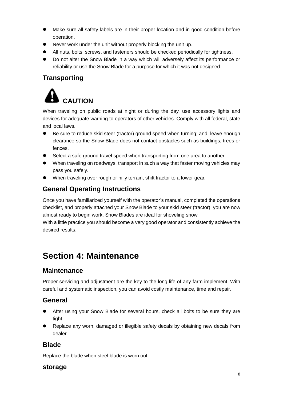- Make sure all safety labels are in their proper location and in good condition before operation.
- Never work under the unit without properly blocking the unit up.
- ⚫ All nuts, bolts, screws, and fasteners should be checked periodically for tightness.
- Do not alter the Snow Blade in a way which will adversely affect its performance or reliability or use the Snow Blade for a purpose for which it was not designed.

### **Transporting**



When traveling on public roads at night or during the day, use accessory lights and devices for adequate warning to operators of other vehicles. Comply with all federal, state and local laws.

- Be sure to reduce skid steer (tractor) ground speed when turning; and, leave enough clearance so the Snow Blade does not contact obstacles such as buildings, trees or fences.
- Select a safe ground travel speed when transporting from one area to another.
- ⚫ When traveling on roadways, transport in such a way that faster moving vehicles may pass you safely.
- ⚫ When traveling over rough or hilly terrain, shift tractor to a lower gear.

### **General Operating Instructions**

Once you have familiarized yourself with the operator's manual, completed the operations checklist, and properly attached your Snow Blade to your skid steer (tractor), you are now almost ready to begin work. Snow Blades are ideal for shoveling snow.

With a little practice you should become a very good operator and consistently achieve the desired results.

## **Section 4: Maintenance**

#### **Maintenance**

Proper servicing and adjustment are the key to the long life of any farm implement. With careful and systematic inspection, you can avoid costly maintenance, time and repair.

#### **General**

- ⚫ After using your Snow Blade for several hours, check all bolts to be sure they are tight.
- Replace any worn, damaged or illegible safety decals by obtaining new decals from dealer.

#### **Blade**

Replace the blade when steel blade is worn out.

#### **storage**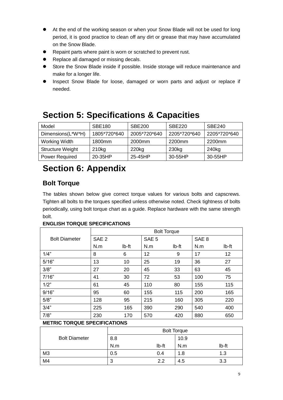- At the end of the working season or when your Snow Blade will not be used for long period, it is good practice to clean off any dirt or grease that may have accumulated on the Snow Blade.
- ⚫ Repaint parts where paint is worn or scratched to prevent rust.
- Replace all damaged or missing decals.
- Store the Snow Blade inside if possible. Inside storage will reduce maintenance and make for a longer life.
- ⚫ Inspect Snow Blade for loose, damaged or worn parts and adjust or replace if needed.

| Model                   | <b>SBE180</b>     | <b>SBE200</b>      | <b>SBE220</b>      | <b>SBE240</b> |
|-------------------------|-------------------|--------------------|--------------------|---------------|
| Dimensions(L*W*H)       | 1805*720*640      | 2005*720*640       | 2205*720*640       | 2205*720*640  |
| Working Width           | 1800mm            | 2000 <sub>mm</sub> | 2200 <sub>mm</sub> | 2200mm        |
| <b>Structure Weight</b> | 210 <sub>kg</sub> | 220 <sub>kg</sub>  | 230 <sub>kg</sub>  | 240kg         |
| <b>Power Required</b>   | 20-35HP           | 25-45HP            | 30-55HP            | 30-55HP       |

## **Section 5: Specifications & Capacities**

## **Section 6: Appendix**

### **Bolt Torque**

The tables shown below give correct torque values for various bolts and capscrews. Tighten all bolts to the torques specified unless otherwise noted. Check tightness of bolts periodically, using bolt torque chart as a guide. Replace hardware with the same strength bolt.

#### **ENGLISH TORQUE SPECIFICATIONS**

|                      |                  |       | <b>Bolt Torque</b> |       |                  |       |
|----------------------|------------------|-------|--------------------|-------|------------------|-------|
| <b>Bolt Diameter</b> | SAE <sub>2</sub> |       | SAE <sub>5</sub>   |       | SAE <sub>8</sub> |       |
|                      | N.m              | Ib-ft | N.m                | lb-ft | N.m              | Ib-ft |
| 1/4"                 | 8                | 6     | 12                 | 9     | 17               | 12    |
| 5/16"                | 13               | 10    | 25                 | 19    | 36               | 27    |
| 3/8"                 | 27               | 20    | 45                 | 33    | 63               | 45    |
| 7/16"                | 41               | 30    | 72                 | 53    | 100              | 75    |
| 1/2"                 | 61               | 45    | 110                | 80    | 155              | 115   |
| 9/16"                | 95               | 60    | 155                | 115   | 200              | 165   |
| 5/8"                 | 128              | 95    | 215                | 160   | 305              | 220   |
| 3/4"                 | 225              | 165   | 390                | 290   | 540              | 400   |
| 7/8"                 | 230              | 170   | 570                | 420   | 880              | 650   |

#### **METRIC TORQUE SPECIFICATIONS**

|                      |        |       | <b>Bolt Torque</b> |       |
|----------------------|--------|-------|--------------------|-------|
| <b>Bolt Diameter</b> | 8.8    |       | 10.9               |       |
|                      | N.m    | Ib-ft | N.m                | Ib-ft |
| M <sub>3</sub>       | 0.5    | 0.4   | 1.8                | 1.3   |
| M4                   | n<br>J | 2.2   | 4.5                | 3.3   |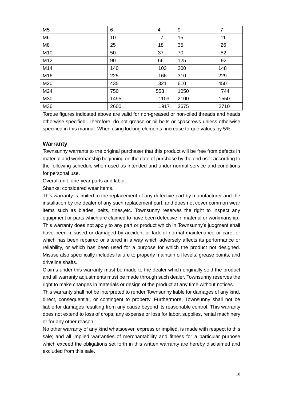| M <sub>5</sub> | 6    | $\overline{4}$ | 9    | 7    |
|----------------|------|----------------|------|------|
| M <sub>6</sub> | 10   | 7              | 15   | 11   |
| M <sub>8</sub> | 25   | 18             | 35   | 26   |
| M10            | 50   | 37             | 70   | 52   |
| M12            | 90   | 66             | 125  | 92   |
| M14            | 140  | 103            | 200  | 148  |
| M16            | 225  | 166            | 310  | 229  |
| M20            | 435  | 321            | 610  | 450  |
| M24            | 750  | 553            | 1050 | 744  |
| M30            | 1495 | 1103           | 2100 | 1550 |
| M36            | 2600 | 1917           | 3675 | 2710 |

Torque figures indicated above are valid for non-greased or non-oiled threads and heads otherwise specified. Therefore, do not grease or oil bolts or cpascrews unless otherwise specified in this manual. When using locking elements, increase torque values by 5%.

#### **Warranty**

Townsunny warrants to the original purchaser that this product will be free from defects in material and workmanship beginning on the date of purchase by the end user according to the following schedule when used as intended and under normal service and conditions for personal use.

Overall unit: one-year parts and labor.

Shanks: considered wear items.

This warranty is limited to the replacement of any defective part by manufacturer and the installation by the dealer of any such replacement part, and does not cover common wear items such as blades, belts, tines,etc. Townsunny reserves the right to inspect any equipment or parts which are claimed to have been defective in material or workmanship. This warranty does not apply to any part or product which in Townsunny's judgment shall have been misused or damaged by accident or lack of normal maintenance or care, or which has been repaired or altered in a way which adversely affects its performance or reliability, or which has been used for a purpose for which the product not designed. Misuse also specifically includes failure to properly maintain oil levels, grease points, and driveline shafts.

Claims under this warranty must be made to the dealer which originally sold the product and all warranty adjustments must be made through such dealer. Townsunny reserves the right to make changes in materials or design of the product at any time without notices.

This warranty shall not be interpreted to render Townsunny liable for damages of any kind, direct, consequential, or contingent to property. Furthermore, Townsunny shall not be liable for damages resulting from any cause beyond its reasonable control. This warranty does not extend to loss of crops, any expense or loss for labor, supplies, rental machinery or for any other reason.

No other warranty of any kind whatsoever, express or implied, is made with respect to this sale; and all implied warranties of merchantability and fitness for a particular purpose which exceed the obligations set forth in this written warranty are hereby disclaimed and excluded from this sale.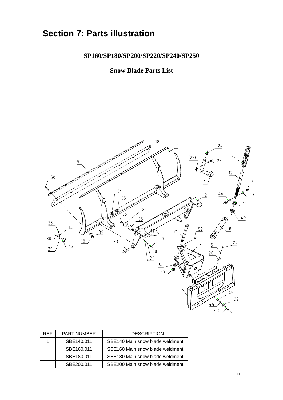## **Section 7: Parts illustration**

#### **SP160/SP180/SP200/SP220/SP240/SP250**

#### **Snow Blade Parts List**



| <b>RFF</b> | <b>PART NUMBER</b> | <b>DESCRIPTION</b>              |
|------------|--------------------|---------------------------------|
|            | SBE140.011         | SBE140 Main snow blade weldment |
|            | SBE160.011         | SBE160 Main snow blade weldment |
|            | SBE180.011         | SBE180 Main snow blade weldment |
|            | SBE200.011         | SBE200 Main snow blade weldment |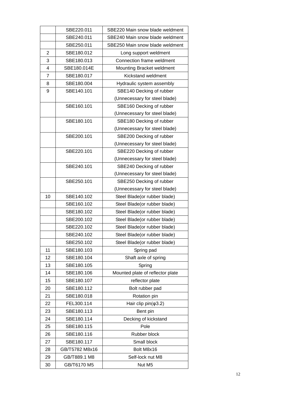|    | SBE220.011     | SBE220 Main snow blade weldment  |
|----|----------------|----------------------------------|
|    | SBE240.011     | SBE240 Main snow blade weldment  |
|    | SBE250.011     | SBE250 Main snow blade weldment  |
| 2  | SBE180.012     | Long support weldment            |
| 3  | SBE180.013     | Connection frame weldment        |
| 4  | SBE180.014E    | Mounting Bracket weldment        |
| 7  | SBE180.017     | Kickstand weldment               |
| 8  | SBE180.004     | Hydraulic system assembly        |
| 9  | SBE140.101     | SBE140 Decking of rubber         |
|    |                | (Unnecessary for steel blade)    |
|    | SBE160.101     | SBE160 Decking of rubber         |
|    |                | (Unnecessary for steel blade)    |
|    | SBE180.101     | SBE180 Decking of rubber         |
|    |                | (Unnecessary for steel blade)    |
|    | SBE200.101     | SBE200 Decking of rubber         |
|    |                | (Unnecessary for steel blade)    |
|    | SBE220.101     | SBE220 Decking of rubber         |
|    |                | (Unnecessary for steel blade)    |
|    | SBE240.101     | SBE240 Decking of rubber         |
|    |                | (Unnecessary for steel blade)    |
|    | SBE250.101     | SBE250 Decking of rubber         |
|    |                | (Unnecessary for steel blade)    |
| 10 | SBE140.102     | Steel Blade(or rubber blade)     |
|    | SBE160.102     | Steel Blade(or rubber blade)     |
|    | SBE180.102     | Steel Blade(or rubber blade)     |
|    | SBE200.102     | Steel Blade(or rubber blade)     |
|    | SBE220.102     | Steel Blade(or rubber blade)     |
|    | SBE240.102     | Steel Blade(or rubber blade)     |
|    | SBE250.102     | Steel Blade(or rubber blade)     |
| 11 | SBE180.103     | Spring pad                       |
| 12 | SBE180.104     | Shaft axle of spring             |
| 13 | SBE180.105     | Spring                           |
| 14 | SBE180.106     | Mounted plate of reflector plate |
| 15 | SBE180.107     | reflector plate                  |
| 20 | SBE180.112     | Bolt rubber pad                  |
| 21 | SBE180.018     | Rotation pin                     |
| 22 | FEL300.114     | Hair clip $pin(φ3.2)$            |
| 23 | SBE180.113     | Bent pin                         |
| 24 | SBE180.114     | Decking of kickstand             |
| 25 | SBE180.115     | Pole                             |
| 26 | SBE180.116     | Rubber block                     |
| 27 | SBE180.117     | Small block                      |
| 28 | GB/T5782 M8x16 | Bolt M8x16                       |
| 29 | GB/T889.1 M8   | Self-lock nut M8                 |
| 30 | GB/T6170 M5    | Nut M5                           |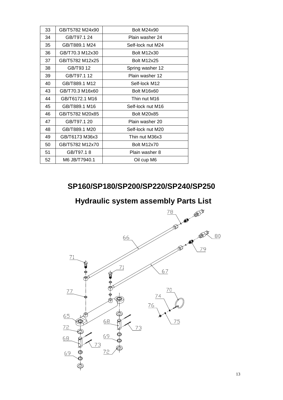| 33 | GB/T5782 M24x90 | <b>Bolt M24x90</b> |
|----|-----------------|--------------------|
| 34 | GB/T97.1 24     | Plain washer 24    |
| 35 | GB/T889.1 M24   | Self-lock nut M24  |
| 36 | GB/T70.3 M12x30 | <b>Bolt M12x30</b> |
| 37 | GB/T5782 M12x25 | <b>Bolt M12x25</b> |
| 38 | GB/T93 12       | Spring washer 12   |
| 39 | GB/T97.1 12     | Plain washer 12    |
| 40 | GB/T889.1 M12   | Self-lock M12      |
| 43 | GB/T70.3 M16x60 | Bolt M16x60        |
| 44 | GB/T6172.1 M16  | Thin nut M16       |
| 45 | GB/T889.1 M16   | Self-lock nut M16  |
| 46 | GB/T5782 M20x85 | <b>Bolt M20x85</b> |
| 47 | GB/T97.1 20     | Plain washer 20    |
| 48 | GB/T889.1 M20   | Self-lock nut M20  |
| 49 | GB/T6173 M36x3  | Thin nut M36x3     |
| 50 | GB/T5782 M12x70 | Bolt M12x70        |
| 51 | GB/T97.18       | Plain washer 8     |
| 52 | M6 JB/T7940.1   | Oil cup M6         |

## **SP160/SP180/SP200/SP220/SP240/SP250**

**Hydraulic system assembly Parts List**